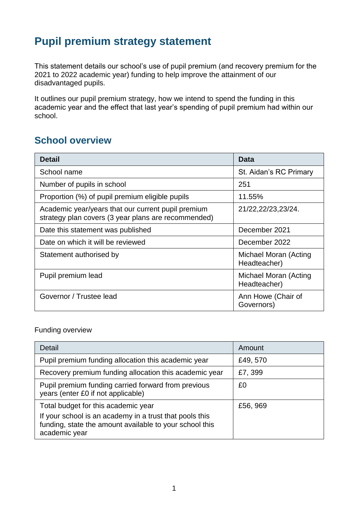# **Pupil premium strategy statement**

This statement details our school's use of pupil premium (and recovery premium for the 2021 to 2022 academic year) funding to help improve the attainment of our disadvantaged pupils.

It outlines our pupil premium strategy, how we intend to spend the funding in this academic year and the effect that last year's spending of pupil premium had within our school.

# **School overview**

| <b>Detail</b>                                                                                             | Data                                  |
|-----------------------------------------------------------------------------------------------------------|---------------------------------------|
| School name                                                                                               | St. Aidan's RC Primary                |
| Number of pupils in school                                                                                | 251                                   |
| Proportion (%) of pupil premium eligible pupils                                                           | 11.55%                                |
| Academic year/years that our current pupil premium<br>strategy plan covers (3 year plans are recommended) | 21/22,22/23,23/24.                    |
| Date this statement was published                                                                         | December 2021                         |
| Date on which it will be reviewed                                                                         | December 2022                         |
| Statement authorised by                                                                                   | Michael Moran (Acting<br>Headteacher) |
| Pupil premium lead                                                                                        | Michael Moran (Acting<br>Headteacher) |
| Governor / Trustee lead                                                                                   | Ann Howe (Chair of<br>Governors)      |

#### Funding overview

| Detail                                                                                                                                                                     | Amount   |
|----------------------------------------------------------------------------------------------------------------------------------------------------------------------------|----------|
| Pupil premium funding allocation this academic year                                                                                                                        | £49,570  |
| Recovery premium funding allocation this academic year                                                                                                                     | £7,399   |
| Pupil premium funding carried forward from previous<br>years (enter £0 if not applicable)                                                                                  | £0       |
| Total budget for this academic year<br>If your school is an academy in a trust that pools this<br>funding, state the amount available to your school this<br>academic year | £56, 969 |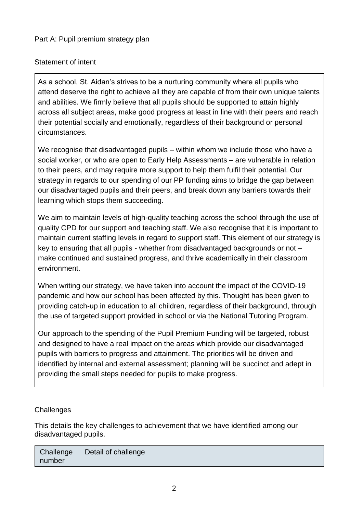# Statement of intent

As a school, St. Aidan's strives to be a nurturing community where all pupils who attend deserve the right to achieve all they are capable of from their own unique talents and abilities. We firmly believe that all pupils should be supported to attain highly across all subject areas, make good progress at least in line with their peers and reach their potential socially and emotionally, regardless of their background or personal circumstances.

We recognise that disadvantaged pupils – within whom we include those who have a social worker, or who are open to Early Help Assessments – are vulnerable in relation to their peers, and may require more support to help them fulfil their potential. Our strategy in regards to our spending of our PP funding aims to bridge the gap between our disadvantaged pupils and their peers, and break down any barriers towards their learning which stops them succeeding.

We aim to maintain levels of high-quality teaching across the school through the use of quality CPD for our support and teaching staff. We also recognise that it is important to maintain current staffing levels in regard to support staff. This element of our strategy is key to ensuring that all pupils - whether from disadvantaged backgrounds or not – make continued and sustained progress, and thrive academically in their classroom environment.

When writing our strategy, we have taken into account the impact of the COVID-19 pandemic and how our school has been affected by this. Thought has been given to providing catch-up in education to all children, regardless of their background, through the use of targeted support provided in school or via the National Tutoring Program.

Our approach to the spending of the Pupil Premium Funding will be targeted, robust and designed to have a real impact on the areas which provide our disadvantaged pupils with barriers to progress and attainment. The priorities will be driven and identified by internal and external assessment; planning will be succinct and adept in providing the small steps needed for pupils to make progress.

## **Challenges**

This details the key challenges to achievement that we have identified among our disadvantaged pupils.

| Challenge<br>Detail of challenge<br>number |  |
|--------------------------------------------|--|
|--------------------------------------------|--|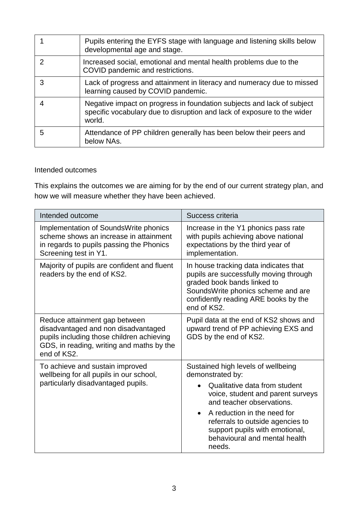|   | Pupils entering the EYFS stage with language and listening skills below<br>developmental age and stage.                                                     |
|---|-------------------------------------------------------------------------------------------------------------------------------------------------------------|
|   | Increased social, emotional and mental health problems due to the<br>COVID pandemic and restrictions.                                                       |
|   | Lack of progress and attainment in literacy and numeracy due to missed<br>learning caused by COVID pandemic.                                                |
|   | Negative impact on progress in foundation subjects and lack of subject<br>specific vocabulary due to disruption and lack of exposure to the wider<br>world. |
| 5 | Attendance of PP children generally has been below their peers and<br>below NAs.                                                                            |

#### Intended outcomes

This explains the outcomes we are aiming for by the end of our current strategy plan, and how we will measure whether they have been achieved.

| Intended outcome                                                                                                                                                              | Success criteria                                                                                                                                                                                                                                                                                                       |
|-------------------------------------------------------------------------------------------------------------------------------------------------------------------------------|------------------------------------------------------------------------------------------------------------------------------------------------------------------------------------------------------------------------------------------------------------------------------------------------------------------------|
| Implementation of Sounds Write phonics<br>scheme shows an increase in attainment<br>in regards to pupils passing the Phonics<br>Screening test in Y1.                         | Increase in the Y1 phonics pass rate<br>with pupils achieving above national<br>expectations by the third year of<br>implementation.                                                                                                                                                                                   |
| Majority of pupils are confident and fluent<br>readers by the end of KS2.                                                                                                     | In house tracking data indicates that<br>pupils are successfully moving through<br>graded book bands linked to<br>SoundsWrite phonics scheme and are<br>confidently reading ARE books by the<br>end of KS2.                                                                                                            |
| Reduce attainment gap between<br>disadvantaged and non disadvantaged<br>pupils including those children achieving<br>GDS, in reading, writing and maths by the<br>end of KS2. | Pupil data at the end of KS2 shows and<br>upward trend of PP achieving EXS and<br>GDS by the end of KS2.                                                                                                                                                                                                               |
| To achieve and sustain improved<br>wellbeing for all pupils in our school,<br>particularly disadvantaged pupils.                                                              | Sustained high levels of wellbeing<br>demonstrated by:<br>Qualitative data from student<br>voice, student and parent surveys<br>and teacher observations.<br>A reduction in the need for<br>$\bullet$<br>referrals to outside agencies to<br>support pupils with emotional,<br>behavioural and mental health<br>needs. |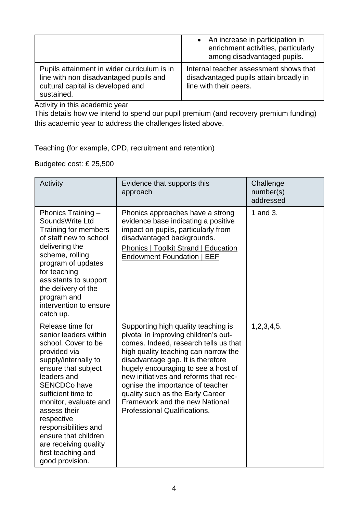|                                                                                                                                          | • An increase in participation in<br>enrichment activities, particularly<br>among disadvantaged pupils.    |
|------------------------------------------------------------------------------------------------------------------------------------------|------------------------------------------------------------------------------------------------------------|
| Pupils attainment in wider curriculum is in<br>line with non disadvantaged pupils and<br>cultural capital is developed and<br>sustained. | Internal teacher assessment shows that<br>disadvantaged pupils attain broadly in<br>line with their peers. |

Activity in this academic year

This details how we intend to spend our pupil premium (and recovery premium funding) this academic year to address the challenges listed above.

Teaching (for example, CPD, recruitment and retention)

### Budgeted cost: £ 25,500

| Activity                                                                                                                                                                                                                                                                                                                                                             | Evidence that supports this<br>approach                                                                                                                                                                                                                                                                                                                                                                                            | Challenge<br>number(s)<br>addressed |
|----------------------------------------------------------------------------------------------------------------------------------------------------------------------------------------------------------------------------------------------------------------------------------------------------------------------------------------------------------------------|------------------------------------------------------------------------------------------------------------------------------------------------------------------------------------------------------------------------------------------------------------------------------------------------------------------------------------------------------------------------------------------------------------------------------------|-------------------------------------|
| Phonics Training -<br>SoundsWrite Ltd<br>Training for members<br>of staff new to school<br>delivering the<br>scheme, rolling<br>program of updates<br>for teaching<br>assistants to support<br>the delivery of the<br>program and<br>intervention to ensure<br>catch up.                                                                                             | Phonics approaches have a strong<br>evidence base indicating a positive<br>impact on pupils, particularly from<br>disadvantaged backgrounds.<br>Phonics   Toolkit Strand   Education<br><b>Endowment Foundation   EEF</b>                                                                                                                                                                                                          | 1 and 3.                            |
| Release time for<br>senior leaders within<br>school. Cover to be<br>provided via<br>supply/internally to<br>ensure that subject<br>leaders and<br><b>SENCDCo have</b><br>sufficient time to<br>monitor, evaluate and<br>assess their<br>respective<br>responsibilities and<br>ensure that children<br>are receiving quality<br>first teaching and<br>good provision. | Supporting high quality teaching is<br>pivotal in improving children's out-<br>comes. Indeed, research tells us that<br>high quality teaching can narrow the<br>disadvantage gap. It is therefore<br>hugely encouraging to see a host of<br>new initiatives and reforms that rec-<br>ognise the importance of teacher<br>quality such as the Early Career<br>Framework and the new National<br><b>Professional Qualifications.</b> | 1,2,3,4,5.                          |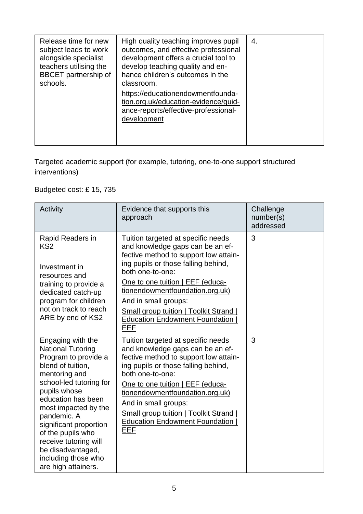| Release time for new                                                    | High quality teaching improves pupil                                                                                             | 4. |
|-------------------------------------------------------------------------|----------------------------------------------------------------------------------------------------------------------------------|----|
| subject leads to work<br>alongside specialist<br>teachers utilising the | outcomes, and effective professional<br>development offers a crucial tool to<br>develop teaching quality and en-                 |    |
| <b>BBCET</b> partnership of<br>schools.                                 | hance children's outcomes in the<br>classroom.                                                                                   |    |
|                                                                         | https://educationendowmentfounda-<br>tion.org.uk/education-evidence/guid-<br>ance-reports/effective-professional-<br>development |    |
|                                                                         |                                                                                                                                  |    |

Targeted academic support (for example, tutoring, one-to-one support structured interventions)

# Budgeted cost: £ 15, 735

| Activity                                                                                                                                                                                                                                                                                                                                                       | Evidence that supports this<br>approach                                                                                                                                                                                                                                                                                                                                    | Challenge<br>number(s)<br>addressed |
|----------------------------------------------------------------------------------------------------------------------------------------------------------------------------------------------------------------------------------------------------------------------------------------------------------------------------------------------------------------|----------------------------------------------------------------------------------------------------------------------------------------------------------------------------------------------------------------------------------------------------------------------------------------------------------------------------------------------------------------------------|-------------------------------------|
| Rapid Readers in<br>KS <sub>2</sub><br>Investment in<br>resources and<br>training to provide a<br>dedicated catch-up<br>program for children<br>not on track to reach<br>ARE by end of KS2                                                                                                                                                                     | Tuition targeted at specific needs<br>and knowledge gaps can be an ef-<br>fective method to support low attain-<br>ing pupils or those falling behind,<br>both one-to-one:<br>One to one tuition   EEF (educa-<br>tionendowmentfoundation.org.uk)<br>And in small groups:<br><b>Small group tuition   Toolkit Strand  </b><br><b>Education Endowment Foundation</b><br>EEF | 3                                   |
| Engaging with the<br><b>National Tutoring</b><br>Program to provide a<br>blend of tuition,<br>mentoring and<br>school-led tutoring for<br>pupils whose<br>education has been<br>most impacted by the<br>pandemic. A<br>significant proportion<br>of the pupils who<br>receive tutoring will<br>be disadvantaged,<br>including those who<br>are high attainers. | Tuition targeted at specific needs<br>and knowledge gaps can be an ef-<br>fective method to support low attain-<br>ing pupils or those falling behind,<br>both one-to-one:<br>One to one tuition   EEF (educa-<br>tionendowmentfoundation.org.uk)<br>And in small groups:<br><b>Small group tuition   Toolkit Strand</b><br><b>Education Endowment Foundation</b><br>EEF   | 3                                   |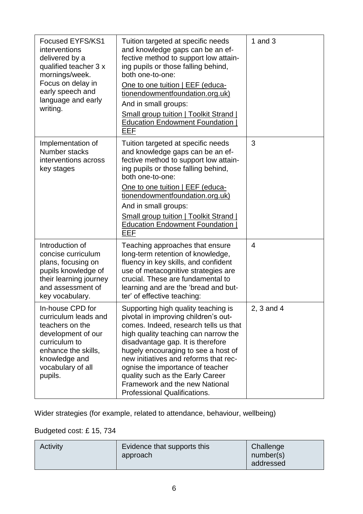| <b>Focused EYFS/KS1</b><br>interventions<br>delivered by a<br>qualified teacher 3 x<br>mornings/week.<br>Focus on delay in<br>early speech and<br>language and early<br>writing. | Tuition targeted at specific needs<br>and knowledge gaps can be an ef-<br>fective method to support low attain-<br>ing pupils or those falling behind,<br>both one-to-one:<br>One to one tuition   EEF (educa-<br>tionendowmentfoundation.org.uk)<br>And in small groups:<br>Small group tuition   Toolkit Strand  <br><b>Education Endowment Foundation</b><br>EEF                                                                | 1 and $3$  |
|----------------------------------------------------------------------------------------------------------------------------------------------------------------------------------|------------------------------------------------------------------------------------------------------------------------------------------------------------------------------------------------------------------------------------------------------------------------------------------------------------------------------------------------------------------------------------------------------------------------------------|------------|
| Implementation of<br>Number stacks<br>interventions across<br>key stages                                                                                                         | Tuition targeted at specific needs<br>and knowledge gaps can be an ef-<br>fective method to support low attain-<br>ing pupils or those falling behind,<br>both one-to-one:<br>One to one tuition   EEF (educa-<br>tionendowmentfoundation.org.uk)<br>And in small groups:<br><b>Small group tuition   Toolkit Strand  </b><br><b>Education Endowment Foundation</b><br>EEF                                                         | 3          |
| Introduction of<br>concise curriculum<br>plans, focusing on<br>pupils knowledge of<br>their learning journey<br>and assessment of<br>key vocabulary.                             | Teaching approaches that ensure<br>long-term retention of knowledge,<br>fluency in key skills, and confident<br>use of metacognitive strategies are<br>crucial. These are fundamental to<br>learning and are the 'bread and but-<br>ter' of effective teaching:                                                                                                                                                                    | 4          |
| In-house CPD for<br>curriculum leads and<br>teachers on the<br>development of our<br>curriculum to<br>enhance the skills,<br>knowledge and<br>vocabulary of all<br>pupils.       | Supporting high quality teaching is<br>pivotal in improving children's out-<br>comes. Indeed, research tells us that<br>high quality teaching can narrow the<br>disadvantage gap. It is therefore<br>hugely encouraging to see a host of<br>new initiatives and reforms that rec-<br>ognise the importance of teacher<br>quality such as the Early Career<br><b>Framework and the new National</b><br>Professional Qualifications. | 2, 3 and 4 |

Wider strategies (for example, related to attendance, behaviour, wellbeing)

Budgeted cost: £ 15, 734

| Activity | Evidence that supports this<br>approach | Challenge<br>number(s) |
|----------|-----------------------------------------|------------------------|
|          |                                         | addressed              |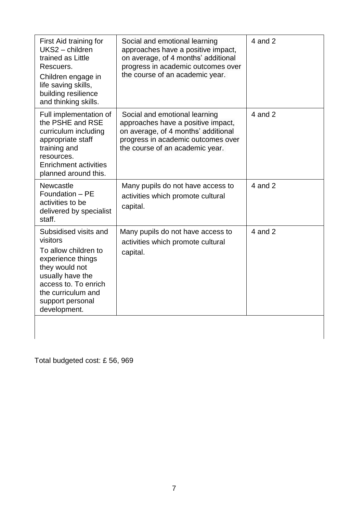| First Aid training for<br>UKS2 - children<br>trained as Little<br>Rescuers.<br>Children engage in<br>life saving skills,<br>building resilience<br>and thinking skills.                                | Social and emotional learning<br>approaches have a positive impact,<br>on average, of 4 months' additional<br>progress in academic outcomes over<br>the course of an academic year. | $4$ and $2$ |
|--------------------------------------------------------------------------------------------------------------------------------------------------------------------------------------------------------|-------------------------------------------------------------------------------------------------------------------------------------------------------------------------------------|-------------|
| Full implementation of<br>the PSHE and RSE<br>curriculum including<br>appropriate staff<br>training and<br>resources.<br><b>Enrichment activities</b><br>planned around this.                          | Social and emotional learning<br>approaches have a positive impact,<br>on average, of 4 months' additional<br>progress in academic outcomes over<br>the course of an academic year. | $4$ and $2$ |
| Newcastle<br>Foundation - PE<br>activities to be<br>delivered by specialist<br>staff.                                                                                                                  | Many pupils do not have access to<br>activities which promote cultural<br>capital.                                                                                                  | $4$ and $2$ |
| Subsidised visits and<br>visitors<br>To allow children to<br>experience things<br>they would not<br>usually have the<br>access to. To enrich<br>the curriculum and<br>support personal<br>development. | Many pupils do not have access to<br>activities which promote cultural<br>capital.                                                                                                  | $4$ and $2$ |
|                                                                                                                                                                                                        |                                                                                                                                                                                     |             |

Total budgeted cost: £ 56, 969

 $\overline{\phantom{a}}$